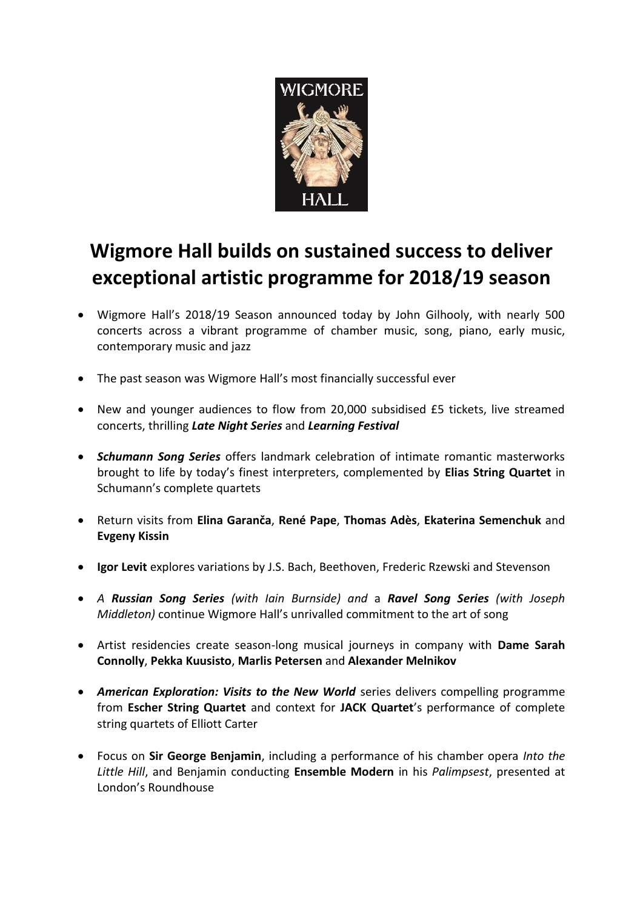

## **Wigmore Hall builds on sustained success to deliver exceptional artistic programme for 2018/19 season**

- Wigmore Hall's 2018/19 Season announced today by John Gilhooly, with nearly 500 concerts across a vibrant programme of chamber music, song, piano, early music, contemporary music and jazz
- The past season was Wigmore Hall's most financially successful ever
- New and younger audiences to flow from 20,000 subsidised £5 tickets, live streamed concerts, thrilling *Late Night Series* and *Learning Festival*
- *Schumann Song Series* offers landmark celebration of intimate romantic masterworks brought to life by today's finest interpreters, complemented by **Elias String Quartet** in Schumann's complete quartets
- Return visits from **Elina Garanča**, **René Pape**, **Thomas Adès**, **Ekaterina Semenchuk** and **Evgeny Kissin**
- **Igor Levit** explores variations by J.S. Bach, Beethoven, Frederic Rzewski and Stevenson
- *A Russian Song Series (with Iain Burnside) and* a *Ravel Song Series (with Joseph Middleton)* continue Wigmore Hall's unrivalled commitment to the art of song
- Artist residencies create season-long musical journeys in company with **Dame Sarah Connolly**, **Pekka Kuusisto**, **Marlis Petersen** and **Alexander Melnikov**
- *American Exploration: Visits to the New World* series delivers compelling programme from **Escher String Quartet** and context for **JACK Quartet**'s performance of complete string quartets of Elliott Carter
- Focus on **Sir George Benjamin**, including a performance of his chamber opera *Into the Little Hill*, and Benjamin conducting **Ensemble Modern** in his *Palimpsest*, presented at London's Roundhouse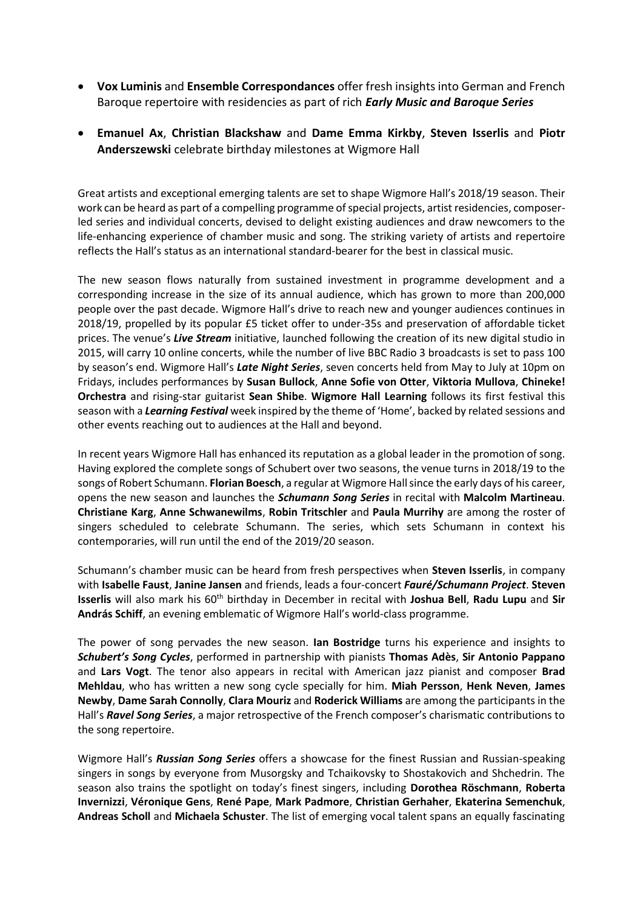- **Vox Luminis** and **Ensemble Correspondances** offer fresh insights into German and French Baroque repertoire with residencies as part of rich *Early Music and Baroque Series*
- **Emanuel Ax**, **Christian Blackshaw** and **Dame Emma Kirkby**, **Steven Isserlis** and **Piotr Anderszewski** celebrate birthday milestones at Wigmore Hall

Great artists and exceptional emerging talents are set to shape Wigmore Hall's 2018/19 season. Their work can be heard as part of a compelling programme of special projects, artist residencies, composerled series and individual concerts, devised to delight existing audiences and draw newcomers to the life-enhancing experience of chamber music and song. The striking variety of artists and repertoire reflects the Hall's status as an international standard-bearer for the best in classical music.

The new season flows naturally from sustained investment in programme development and a corresponding increase in the size of its annual audience, which has grown to more than 200,000 people over the past decade. Wigmore Hall's drive to reach new and younger audiences continues in 2018/19, propelled by its popular £5 ticket offer to under-35s and preservation of affordable ticket prices. The venue's *Live Stream* initiative, launched following the creation of its new digital studio in 2015, will carry 10 online concerts, while the number of live BBC Radio 3 broadcasts is set to pass 100 by season's end. Wigmore Hall's *Late Night Series*, seven concerts held from May to July at 10pm on Fridays, includes performances by **Susan Bullock**, **Anne Sofie von Otter**, **Viktoria Mullova**, **Chineke! Orchestra** and rising-star guitarist **Sean Shibe**. **Wigmore Hall Learning** follows its first festival this season with a *Learning Festival* week inspired by the theme of 'Home', backed by related sessions and other events reaching out to audiences at the Hall and beyond.

In recent years Wigmore Hall has enhanced its reputation as a global leader in the promotion of song. Having explored the complete songs of Schubert over two seasons, the venue turns in 2018/19 to the songs of Robert Schumann. **Florian Boesch**, a regular at Wigmore Hall since the early days of his career, opens the new season and launches the *Schumann Song Series* in recital with **Malcolm Martineau**. **Christiane Karg**, **Anne Schwanewilms**, **Robin Tritschler** and **Paula Murrihy** are among the roster of singers scheduled to celebrate Schumann. The series, which sets Schumann in context his contemporaries, will run until the end of the 2019/20 season.

Schumann's chamber music can be heard from fresh perspectives when **Steven Isserlis**, in company with **Isabelle Faust**, **Janine Jansen** and friends, leads a four-concert *Fauré/Schumann Project*. **Steven Isserlis** will also mark his 60th birthday in December in recital with **Joshua Bell**, **Radu Lupu** and **Sir András Schiff**, an evening emblematic of Wigmore Hall's world-class programme.

The power of song pervades the new season. **Ian Bostridge** turns his experience and insights to *Schubert's Song Cycles*, performed in partnership with pianists **Thomas Adès**, **Sir Antonio Pappano** and **Lars Vogt**. The tenor also appears in recital with American jazz pianist and composer **Brad Mehldau**, who has written a new song cycle specially for him. **Miah Persson**, **Henk Neven**, **James Newby**, **Dame Sarah Connolly**, **Clara Mouriz** and **Roderick Williams** are among the participants in the Hall's *Ravel Song Series*, a major retrospective of the French composer's charismatic contributions to the song repertoire.

Wigmore Hall's *Russian Song Series* offers a showcase for the finest Russian and Russian-speaking singers in songs by everyone from Musorgsky and Tchaikovsky to Shostakovich and Shchedrin. The season also trains the spotlight on today's finest singers, including **Dorothea Röschmann**, **Roberta Invernizzi**, **Véronique Gens**, **René Pape**, **Mark Padmore**, **Christian Gerhaher**, **Ekaterina Semenchuk**, **Andreas Scholl** and **Michaela Schuster**. The list of emerging vocal talent spans an equally fascinating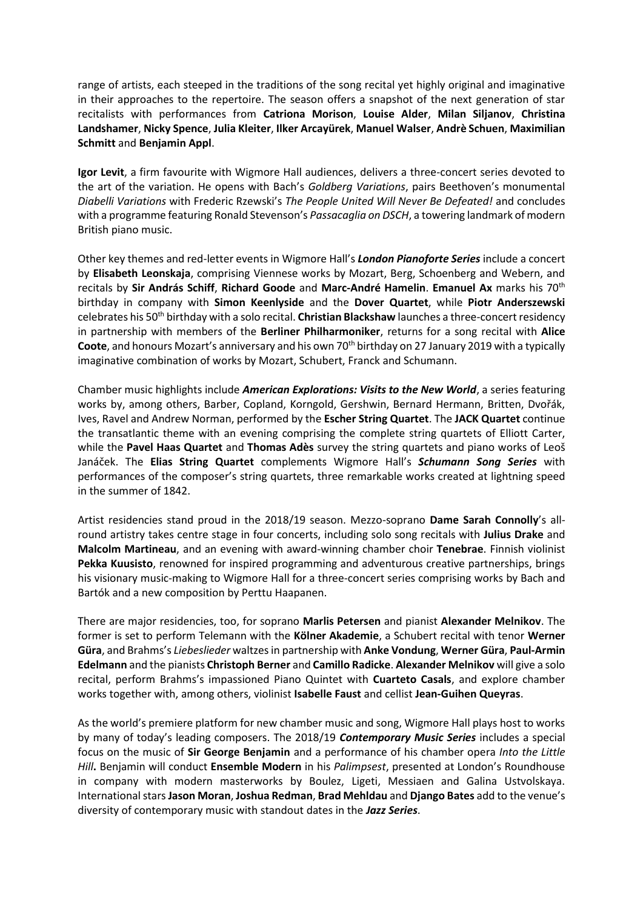range of artists, each steeped in the traditions of the song recital yet highly original and imaginative in their approaches to the repertoire. The season offers a snapshot of the next generation of star recitalists with performances from **Catriona Morison**, **Louise Alder**, **Milan Siljanov**, **Christina Landshamer**, **Nicky Spence**, **Julia Kleiter**, **Ilker Arcayürek**, **Manuel Walser**, **Andrè Schuen**, **Maximilian Schmitt** and **Benjamin Appl**.

**Igor Levit**, a firm favourite with Wigmore Hall audiences, delivers a three-concert series devoted to the art of the variation. He opens with Bach's *Goldberg Variations*, pairs Beethoven's monumental *Diabelli Variations* with Frederic Rzewski's *The People United Will Never Be Defeated!* and concludes with a programme featuring Ronald Stevenson's *Passacaglia on DSCH*, a towering landmark of modern British piano music.

Other key themes and red-letter events in Wigmore Hall's *London Pianoforte Series* include a concert by **Elisabeth Leonskaja**, comprising Viennese works by Mozart, Berg, Schoenberg and Webern, and recitals by **Sir András Schiff**, **Richard Goode** and **Marc-André Hamelin**. **Emanuel Ax** marks his 70th birthday in company with **Simon Keenlyside** and the **Dover Quartet**, while **Piotr Anderszewski**  celebrates his 50th birthday with a solo recital. **Christian Blackshaw** launches a three-concert residency in partnership with members of the **Berliner Philharmoniker**, returns for a song recital with **Alice Coote**, and honours Mozart's anniversary and his own 70<sup>th</sup> birthday on 27 January 2019 with a typically imaginative combination of works by Mozart, Schubert, Franck and Schumann.

Chamber music highlights include *American Explorations: Visits to the New World*, a series featuring works by, among others, Barber, Copland, Korngold, Gershwin, Bernard Hermann, Britten, Dvořák, Ives, Ravel and Andrew Norman, performed by the **Escher String Quartet**. The **JACK Quartet** continue the transatlantic theme with an evening comprising the complete string quartets of Elliott Carter, while the **Pavel Haas Quartet** and **Thomas Adès** survey the string quartets and piano works of Leoš Janáček. The **Elias String Quartet** complements Wigmore Hall's *Schumann Song Series* with performances of the composer's string quartets, three remarkable works created at lightning speed in the summer of 1842.

Artist residencies stand proud in the 2018/19 season. Mezzo-soprano **Dame Sarah Connolly**'s allround artistry takes centre stage in four concerts, including solo song recitals with **Julius Drake** and **Malcolm Martineau**, and an evening with award-winning chamber choir **Tenebrae**. Finnish violinist **Pekka Kuusisto**, renowned for inspired programming and adventurous creative partnerships, brings his visionary music-making to Wigmore Hall for a three-concert series comprising works by Bach and Bartók and a new composition by Perttu Haapanen.

There are major residencies, too, for soprano **Marlis Petersen** and pianist **Alexander Melnikov**. The former is set to perform Telemann with the **Kölner Akademie**, a Schubert recital with tenor **Werner Güra**, and Brahms's *Liebeslieder* waltzes in partnership with **Anke Vondung**, **Werner Güra**, **Paul-Armin Edelmann** and the pianists **Christoph Berner** and **Camillo Radicke**. **Alexander Melnikov** will give a solo recital, perform Brahms's impassioned Piano Quintet with **Cuarteto Casals**, and explore chamber works together with, among others, violinist **Isabelle Faust** and cellist **Jean-Guihen Queyras**.

As the world's premiere platform for new chamber music and song, Wigmore Hall plays host to works by many of today's leading composers. The 2018/19 *Contemporary Music Series* includes a special focus on the music of **Sir George Benjamin** and a performance of his chamber opera *Into the Little Hill***.** Benjamin will conduct **Ensemble Modern** in his *Palimpsest*, presented at London's Roundhouse in company with modern masterworks by Boulez, Ligeti, Messiaen and Galina Ustvolskaya. International stars **Jason Moran**, **Joshua Redman**, **Brad Mehldau** and **Django Bates** add to the venue's diversity of contemporary music with standout dates in the *Jazz Series*.